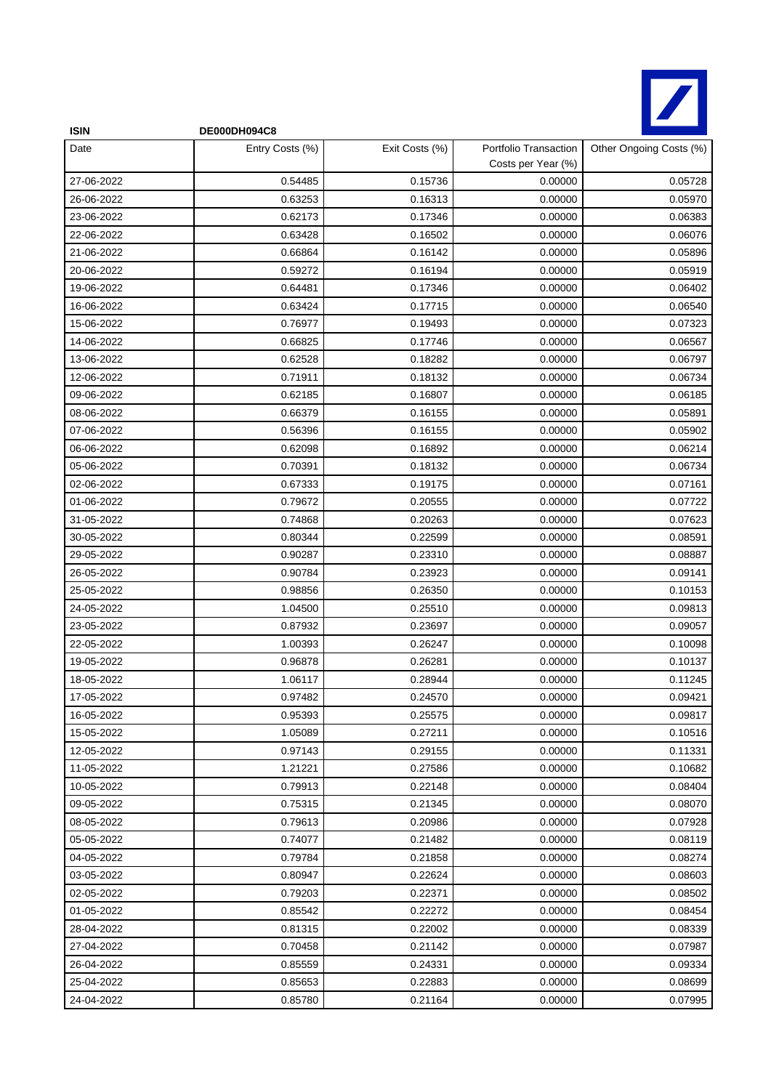

| <b>ISIN</b> | <b>DE000DH094C8</b> |                |                                             |                         |
|-------------|---------------------|----------------|---------------------------------------------|-------------------------|
| Date        | Entry Costs (%)     | Exit Costs (%) | Portfolio Transaction<br>Costs per Year (%) | Other Ongoing Costs (%) |
| 27-06-2022  | 0.54485             | 0.15736        | 0.00000                                     | 0.05728                 |
| 26-06-2022  | 0.63253             | 0.16313        | 0.00000                                     | 0.05970                 |
| 23-06-2022  | 0.62173             | 0.17346        | 0.00000                                     | 0.06383                 |
| 22-06-2022  | 0.63428             | 0.16502        | 0.00000                                     | 0.06076                 |
| 21-06-2022  | 0.66864             | 0.16142        | 0.00000                                     | 0.05896                 |
| 20-06-2022  | 0.59272             | 0.16194        | 0.00000                                     | 0.05919                 |
| 19-06-2022  | 0.64481             | 0.17346        | 0.00000                                     | 0.06402                 |
| 16-06-2022  | 0.63424             | 0.17715        | 0.00000                                     | 0.06540                 |
| 15-06-2022  | 0.76977             | 0.19493        | 0.00000                                     | 0.07323                 |
| 14-06-2022  | 0.66825             | 0.17746        | 0.00000                                     | 0.06567                 |
| 13-06-2022  | 0.62528             | 0.18282        | 0.00000                                     | 0.06797                 |
| 12-06-2022  | 0.71911             | 0.18132        | 0.00000                                     | 0.06734                 |
| 09-06-2022  | 0.62185             | 0.16807        | 0.00000                                     | 0.06185                 |
| 08-06-2022  | 0.66379             | 0.16155        | 0.00000                                     | 0.05891                 |
| 07-06-2022  | 0.56396             | 0.16155        | 0.00000                                     | 0.05902                 |
| 06-06-2022  | 0.62098             | 0.16892        | 0.00000                                     | 0.06214                 |
| 05-06-2022  | 0.70391             | 0.18132        | 0.00000                                     | 0.06734                 |
| 02-06-2022  | 0.67333             | 0.19175        | 0.00000                                     | 0.07161                 |
| 01-06-2022  | 0.79672             | 0.20555        | 0.00000                                     | 0.07722                 |
| 31-05-2022  | 0.74868             | 0.20263        | 0.00000                                     | 0.07623                 |
| 30-05-2022  | 0.80344             | 0.22599        | 0.00000                                     | 0.08591                 |
| 29-05-2022  | 0.90287             | 0.23310        | 0.00000                                     | 0.08887                 |
| 26-05-2022  | 0.90784             | 0.23923        | 0.00000                                     | 0.09141                 |
| 25-05-2022  | 0.98856             | 0.26350        | 0.00000                                     | 0.10153                 |
| 24-05-2022  | 1.04500             | 0.25510        | 0.00000                                     | 0.09813                 |
| 23-05-2022  | 0.87932             | 0.23697        | 0.00000                                     | 0.09057                 |
| 22-05-2022  | 1.00393             | 0.26247        | 0.00000                                     | 0.10098                 |
| 19-05-2022  | 0.96878             | 0.26281        | 0.00000                                     | 0.10137                 |
| 18-05-2022  | 1.06117             | 0.28944        | 0.00000                                     | 0.11245                 |
| 17-05-2022  | 0.97482             | 0.24570        | 0.00000                                     | 0.09421                 |
| 16-05-2022  | 0.95393             | 0.25575        | 0.00000                                     | 0.09817                 |
| 15-05-2022  | 1.05089             | 0.27211        | 0.00000                                     | 0.10516                 |
| 12-05-2022  | 0.97143             | 0.29155        | 0.00000                                     | 0.11331                 |
| 11-05-2022  | 1.21221             | 0.27586        | 0.00000                                     | 0.10682                 |
| 10-05-2022  | 0.79913             | 0.22148        | 0.00000                                     | 0.08404                 |
| 09-05-2022  | 0.75315             | 0.21345        | 0.00000                                     | 0.08070                 |
| 08-05-2022  | 0.79613             | 0.20986        | 0.00000                                     | 0.07928                 |
| 05-05-2022  | 0.74077             | 0.21482        | 0.00000                                     | 0.08119                 |
| 04-05-2022  | 0.79784             | 0.21858        | 0.00000                                     | 0.08274                 |
| 03-05-2022  | 0.80947             | 0.22624        | 0.00000                                     | 0.08603                 |
| 02-05-2022  | 0.79203             | 0.22371        | 0.00000                                     | 0.08502                 |
| 01-05-2022  | 0.85542             | 0.22272        | 0.00000                                     | 0.08454                 |
| 28-04-2022  | 0.81315             | 0.22002        | 0.00000                                     | 0.08339                 |
| 27-04-2022  | 0.70458             | 0.21142        | 0.00000                                     | 0.07987                 |
| 26-04-2022  | 0.85559             | 0.24331        | 0.00000                                     | 0.09334                 |
| 25-04-2022  | 0.85653             | 0.22883        | 0.00000                                     | 0.08699                 |
| 24-04-2022  | 0.85780             | 0.21164        | 0.00000                                     | 0.07995                 |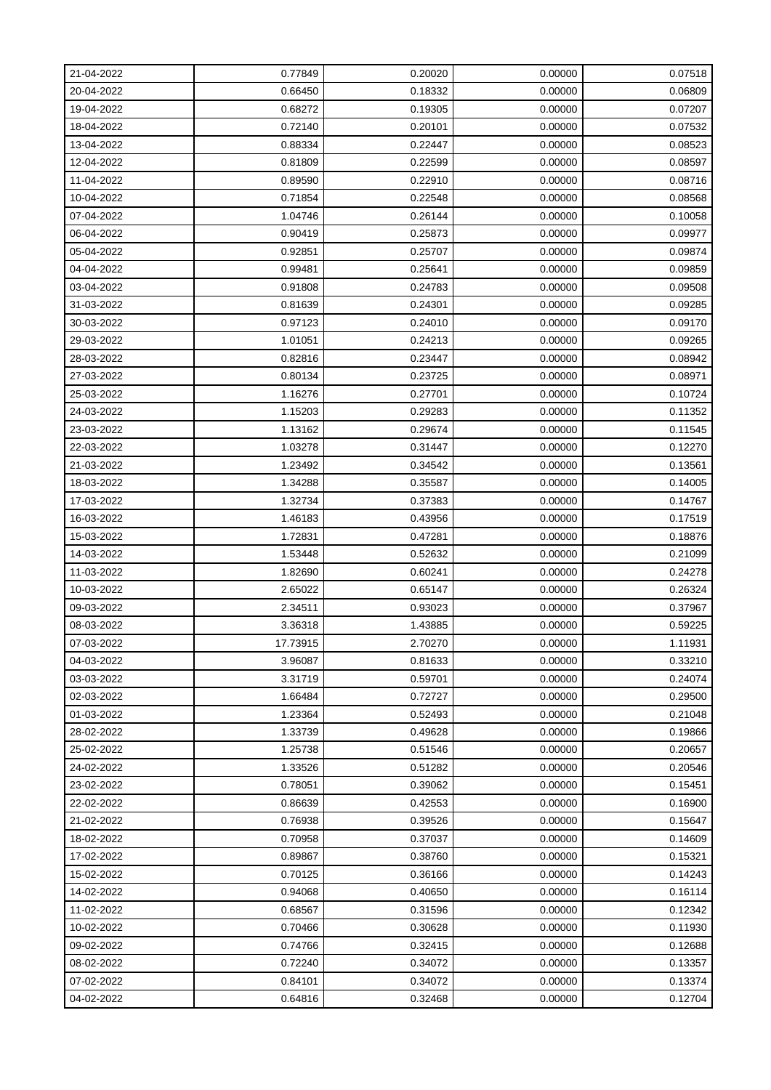| 21-04-2022 | 0.77849  | 0.20020 | 0.00000 | 0.07518 |
|------------|----------|---------|---------|---------|
| 20-04-2022 | 0.66450  | 0.18332 | 0.00000 | 0.06809 |
| 19-04-2022 | 0.68272  | 0.19305 | 0.00000 | 0.07207 |
| 18-04-2022 | 0.72140  | 0.20101 | 0.00000 | 0.07532 |
| 13-04-2022 | 0.88334  | 0.22447 | 0.00000 | 0.08523 |
| 12-04-2022 | 0.81809  | 0.22599 | 0.00000 | 0.08597 |
| 11-04-2022 | 0.89590  | 0.22910 | 0.00000 | 0.08716 |
| 10-04-2022 | 0.71854  | 0.22548 | 0.00000 | 0.08568 |
| 07-04-2022 | 1.04746  | 0.26144 | 0.00000 | 0.10058 |
| 06-04-2022 | 0.90419  | 0.25873 | 0.00000 | 0.09977 |
| 05-04-2022 | 0.92851  | 0.25707 | 0.00000 | 0.09874 |
| 04-04-2022 | 0.99481  | 0.25641 | 0.00000 | 0.09859 |
| 03-04-2022 | 0.91808  | 0.24783 | 0.00000 | 0.09508 |
| 31-03-2022 | 0.81639  | 0.24301 | 0.00000 | 0.09285 |
| 30-03-2022 | 0.97123  | 0.24010 | 0.00000 | 0.09170 |
| 29-03-2022 | 1.01051  | 0.24213 | 0.00000 | 0.09265 |
| 28-03-2022 | 0.82816  | 0.23447 | 0.00000 | 0.08942 |
| 27-03-2022 | 0.80134  | 0.23725 | 0.00000 | 0.08971 |
| 25-03-2022 | 1.16276  | 0.27701 | 0.00000 | 0.10724 |
| 24-03-2022 | 1.15203  | 0.29283 | 0.00000 | 0.11352 |
| 23-03-2022 | 1.13162  | 0.29674 | 0.00000 | 0.11545 |
| 22-03-2022 | 1.03278  | 0.31447 | 0.00000 | 0.12270 |
| 21-03-2022 | 1.23492  | 0.34542 | 0.00000 | 0.13561 |
| 18-03-2022 | 1.34288  | 0.35587 | 0.00000 | 0.14005 |
| 17-03-2022 | 1.32734  | 0.37383 | 0.00000 | 0.14767 |
| 16-03-2022 | 1.46183  | 0.43956 | 0.00000 | 0.17519 |
| 15-03-2022 | 1.72831  | 0.47281 | 0.00000 | 0.18876 |
| 14-03-2022 | 1.53448  | 0.52632 | 0.00000 | 0.21099 |
| 11-03-2022 | 1.82690  | 0.60241 | 0.00000 | 0.24278 |
| 10-03-2022 | 2.65022  | 0.65147 | 0.00000 | 0.26324 |
| 09-03-2022 | 2.34511  | 0.93023 | 0.00000 | 0.37967 |
| 08-03-2022 | 3.36318  | 1.43885 | 0.00000 | 0.59225 |
| 07-03-2022 | 17.73915 | 2.70270 | 0.00000 | 1.11931 |
| 04-03-2022 | 3.96087  | 0.81633 | 0.00000 | 0.33210 |
| 03-03-2022 | 3.31719  | 0.59701 | 0.00000 | 0.24074 |
| 02-03-2022 | 1.66484  | 0.72727 | 0.00000 | 0.29500 |
| 01-03-2022 | 1.23364  | 0.52493 | 0.00000 | 0.21048 |
| 28-02-2022 | 1.33739  | 0.49628 | 0.00000 | 0.19866 |
| 25-02-2022 | 1.25738  | 0.51546 | 0.00000 | 0.20657 |
| 24-02-2022 | 1.33526  | 0.51282 | 0.00000 | 0.20546 |
| 23-02-2022 | 0.78051  | 0.39062 | 0.00000 | 0.15451 |
| 22-02-2022 | 0.86639  | 0.42553 | 0.00000 | 0.16900 |
| 21-02-2022 | 0.76938  | 0.39526 | 0.00000 | 0.15647 |
| 18-02-2022 | 0.70958  | 0.37037 | 0.00000 | 0.14609 |
| 17-02-2022 | 0.89867  | 0.38760 | 0.00000 | 0.15321 |
| 15-02-2022 | 0.70125  | 0.36166 | 0.00000 | 0.14243 |
| 14-02-2022 | 0.94068  | 0.40650 | 0.00000 | 0.16114 |
| 11-02-2022 | 0.68567  | 0.31596 | 0.00000 | 0.12342 |
| 10-02-2022 | 0.70466  | 0.30628 | 0.00000 | 0.11930 |
| 09-02-2022 | 0.74766  | 0.32415 | 0.00000 | 0.12688 |
| 08-02-2022 | 0.72240  | 0.34072 | 0.00000 | 0.13357 |
| 07-02-2022 | 0.84101  | 0.34072 | 0.00000 | 0.13374 |
| 04-02-2022 | 0.64816  | 0.32468 | 0.00000 | 0.12704 |